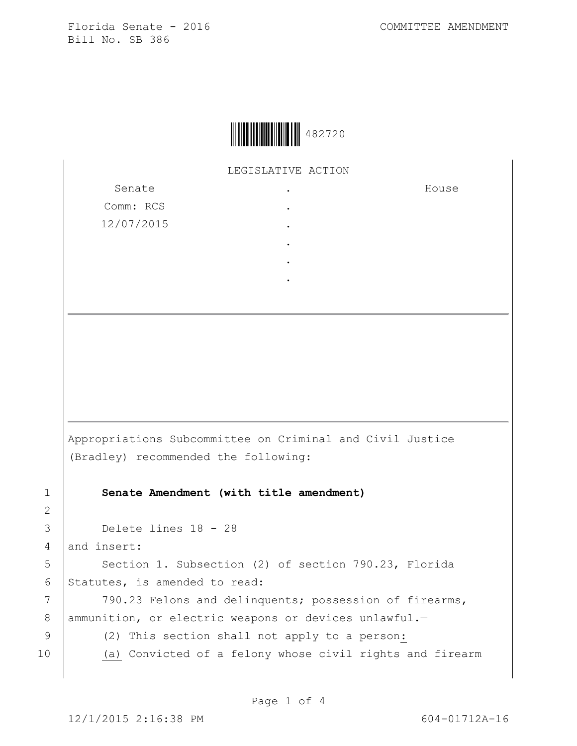

LEGISLATIVE ACTION

. . . . . .

Senate Comm: RCS 12/07/2015 House

Appropriations Subcommittee on Criminal and Civil Justice (Bradley) recommended the following:

1 **Senate Amendment (with title amendment)**

3 Delete lines 18 - 28

4 and insert:

2

5 | Section 1. Subsection (2) of section 790.23, Florida 6 Statutes, is amended to read:

7 | 790.23 Felons and delinquents; possession of firearms, 8 | ammunition, or electric weapons or devices unlawful.-

9 (2) This section shall not apply to a person:

10 (a) Convicted of a felony whose civil rights and firearm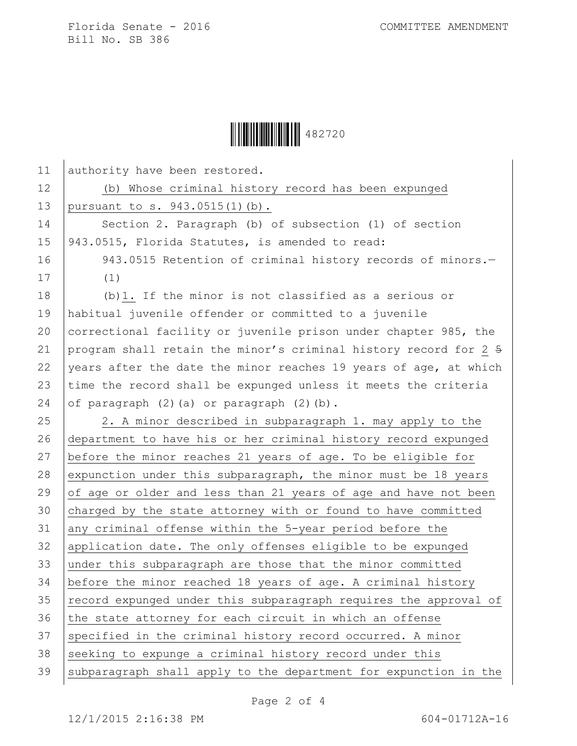

| 11 | authority have been restored.                                    |
|----|------------------------------------------------------------------|
| 12 | (b) Whose criminal history record has been expunged              |
| 13 | pursuant to s. 943.0515(1)(b).                                   |
| 14 | Section 2. Paragraph (b) of subsection (1) of section            |
| 15 | 943.0515, Florida Statutes, is amended to read:                  |
| 16 | 943.0515 Retention of criminal history records of minors.-       |
| 17 | (1)                                                              |
| 18 | (b) 1. If the minor is not classified as a serious or            |
| 19 | habitual juvenile offender or committed to a juvenile            |
| 20 | correctional facility or juvenile prison under chapter 985, the  |
| 21 | program shall retain the minor's criminal history record for 2 5 |
| 22 | years after the date the minor reaches 19 years of age, at which |
| 23 | time the record shall be expunged unless it meets the criteria   |
| 24 | of paragraph (2) (a) or paragraph (2) (b).                       |
| 25 | 2. A minor described in subparagraph 1. may apply to the         |
| 26 | department to have his or her criminal history record expunged   |
| 27 | before the minor reaches 21 years of age. To be eligible for     |
| 28 | expunction under this subparagraph, the minor must be 18 years   |
| 29 | of age or older and less than 21 years of age and have not been  |
| 30 | charged by the state attorney with or found to have committed    |
| 31 | any criminal offense within the 5-year period before the         |
| 32 | application date. The only offenses eligible to be expunged      |
| 33 | under this subparagraph are those that the minor committed       |
| 34 | before the minor reached 18 years of age. A criminal history     |
| 35 | record expunged under this subparagraph requires the approval of |
| 36 | the state attorney for each circuit in which an offense          |
| 37 | specified in the criminal history record occurred. A minor       |
| 38 | seeking to expunge a criminal history record under this          |
| 39 | subparagraph shall apply to the department for expunction in the |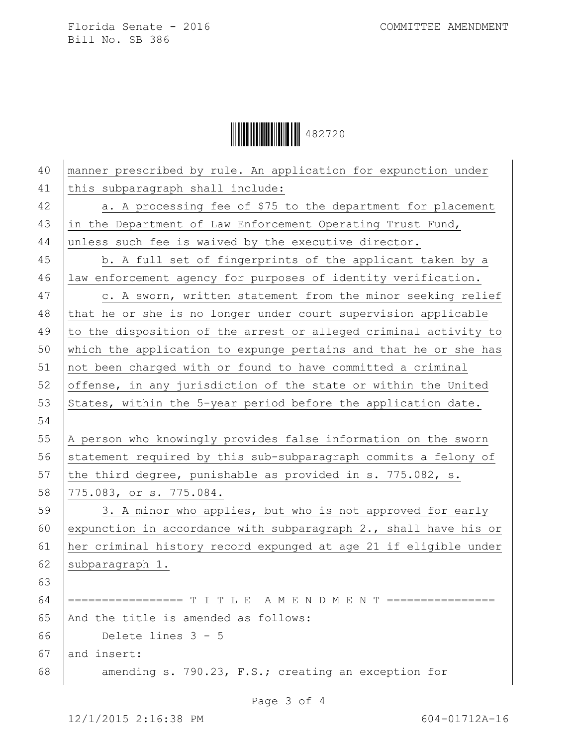Ì482720|Î482720

| 40 | manner prescribed by rule. An application for expunction under      |
|----|---------------------------------------------------------------------|
| 41 | this subparagraph shall include:                                    |
| 42 | a. A processing fee of \$75 to the department for placement         |
| 43 | in the Department of Law Enforcement Operating Trust Fund,          |
| 44 | unless such fee is waived by the executive director.                |
| 45 | b. A full set of fingerprints of the applicant taken by a           |
| 46 | law enforcement agency for purposes of identity verification.       |
| 47 | c. A sworn, written statement from the minor seeking relief         |
| 48 | that he or she is no longer under court supervision applicable      |
| 49 | to the disposition of the arrest or alleged criminal activity to    |
| 50 | which the application to expunge pertains and that he or she has    |
| 51 | not been charged with or found to have committed a criminal         |
| 52 | offense, in any jurisdiction of the state or within the United      |
| 53 | States, within the 5-year period before the application date.       |
| 54 |                                                                     |
|    |                                                                     |
| 55 | A person who knowingly provides false information on the sworn      |
| 56 | statement required by this sub-subparagraph commits a felony of     |
| 57 | the third degree, punishable as provided in s. 775.082, s.          |
| 58 | 775.083, or s. 775.084.                                             |
| 59 | 3. A minor who applies, but who is not approved for early           |
| 60 | expunction in accordance with subparagraph $2.$ , shall have his or |
| 61 | her criminal history record expunged at age 21 if eligible under    |
| 62 | subparagraph 1.                                                     |
| 63 |                                                                     |
| 64 | ================= T I T L E A M E N D M E N T ================      |
| 65 | And the title is amended as follows:                                |
| 66 | Delete lines $3 - 5$                                                |
| 67 | and insert:                                                         |
| 68 | amending s. 790.23, F.S.; creating an exception for                 |

Page 3 of 4